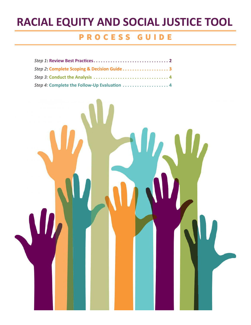# **RACIAL EQUITY AND SOCIAL JUSTICE TOOL**

### PROCESS GUIDE

| Step 4: Complete the Follow-Up Evaluation  4 |  |
|----------------------------------------------|--|

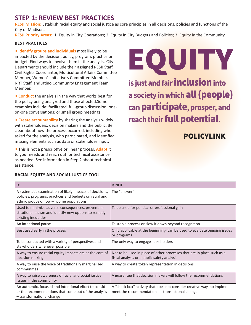#### **STEP 1: REVIEW BEST PRACTICES**

**RESJI Mission:** Establish racial equity and social justice as core principles in all decisions, policies and functions of the City of Madison.

**RESJI Priority Areas:** 1. Equity in City Operations; 2. Equity in City Budgets and Policies; 3. Equity in the Community

#### **BEST PRACTICES**

**Identify groups and individuals** most likely to be impacted by the decision, policy, program, practice or budget. Find ways to involve them in the analysis. City Departments should include their assigned RESJI Staff, Civil Rights Coordiantor, Multicultural Affairs Committee Member, Women's Initiative's Committee Member, NRT Staff, andLatino Community Engagement Team Member.

▶ **Conduct** the analysis in the way that works best for the policy being analyzed and those affected.Some examples include: facilitated, full-group discussion; oneon-one conversations; or small group meetings

**Create accountability** by sharing the analysis widely with stakeholders, decision makers and the public. Be clear about how the process occurred, including who asked for the analysis, who participated, and identified missing elements such as data or stakeholder input.

This is not a prescriptive or linear process. **Adapt** it to your needs and reach out for technical assistance as needed. See information in Step 2 about technical assistance.

**RACIAL EQUITY AND SOCIAL JUSTICE TOOL**

EQUITY is just and fair **inclusion** into a society in which all (people) can participate, prosper, and reach their full potential.

### POLICYLINK

| Is:                                                                                                                                                             | Is NOT:                                                                                                                     |  |  |  |  |
|-----------------------------------------------------------------------------------------------------------------------------------------------------------------|-----------------------------------------------------------------------------------------------------------------------------|--|--|--|--|
| A systematic examination of likely impacts of decisions,<br>policies, programs, practices and budgets on racial and<br>ethnic groups or low -income populations | The "answer"                                                                                                                |  |  |  |  |
| Used to minimize adverse consequences, prevent in-<br>stitutional racism and identify new options to remedy<br>existing inequities                              | To be used for political or professional gain                                                                               |  |  |  |  |
| An intentional pause                                                                                                                                            | To stop a process or slow it down beyond recognition                                                                        |  |  |  |  |
| Best used early in the process                                                                                                                                  | Only applicable at the beginning- can be used to evaluate ongoing issues<br>or programs                                     |  |  |  |  |
| To be conducted with a variety of perspectives and<br>stakeholders whenever possible                                                                            | The only way to engage stakeholders                                                                                         |  |  |  |  |
| A way to ensure racial equity impacts are at the core of<br>decision making                                                                                     | Not to be used in place of other processes that are in place such as a<br>fiscal analysis or a public safety analysis       |  |  |  |  |
| A way to raise the voice of traditionally marginalized<br>communities                                                                                           | A way to create token representation in decisions                                                                           |  |  |  |  |
| A way to raise awareness of racial and social justice<br>issues in the community                                                                                | A guarantee that decision makers will follow the recommendations                                                            |  |  |  |  |
| An authentic, focused and intentional effort to consid-<br>er the recommendations that come out of the analysis<br>- transformational change                    | A "check box" activity that does not consider creative ways to implme-<br>ment the recommendations $-$ transactional change |  |  |  |  |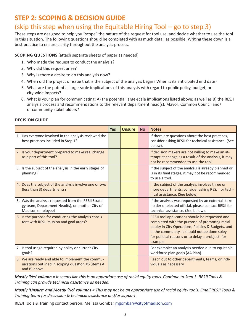#### **STEP 2: SCOPING & DECISION GUIDE**

#### (skip this step when using the Equitable Hiring Tool – go to step 3)

These steps are designed to help you "scope" the nature of the request for tool use, and decide whether to use the tool in this situation. The following questions should be completed with as much detail as possible. Writing these down is a best practice to ensure clarity throughout the analysis process.

**SCOPING QUESTIONS** (attach separate sheets of paper as needed)

- 1. Who made the request to conduct the analysis?
- 2. Why did this request arise?
- 3. Why is there a desire to do this analysis now?
- 4. When did the project or issue that is the subject of the analysis begin? When is its anticipated end date?
- 5. What are the potential large-scale implications of this analysis with regard to public policy, budget, or city-wide impacts?
- 6. What is your plan for communicating: A) the potential large-scale implications listed above; as well as B) the RESJI analysis process and recommendations to the relevant department head(s), Mayor, Common Council and/ or community stakeholders?

|                                                                                                                              | <b>Yes</b> | <b>Unsure</b> | <b>No</b> | <b>Notes</b>                                                                                                                                                                                                                                                              |
|------------------------------------------------------------------------------------------------------------------------------|------------|---------------|-----------|---------------------------------------------------------------------------------------------------------------------------------------------------------------------------------------------------------------------------------------------------------------------------|
| 1. Has everyone involved in the analysis reviewed the<br>best practices included in Step 1?                                  |            |               |           | If there are questions about the best practices,<br>consider asking RESJI for technical assistance. (See<br>below).                                                                                                                                                       |
| 2. Is your department prepared to make real change<br>as a part of this tool?                                                |            |               |           | If decision makers are not willing to make an at-<br>tempt at change as a result of the analysis, it may<br>not be recommended to use the tool.                                                                                                                           |
| 3. Is the subject of the analysis in the early stages of<br>planning?                                                        |            |               |           | If the subject of the analysis is already planned or<br>is in its final stages, it may not be recommended<br>to use a tool.                                                                                                                                               |
| 4. Does the subject of the analysis involve one or two<br>(less than 3) departments?                                         |            |               |           | If the subject of the analysis involves three or<br>more departments, consider asking RESJI for tech-<br>nical assistance. (See below).                                                                                                                                   |
| 5. Was the analysis requested from the RESJI Strate-<br>gy team, Department Head(s), or another City of<br>Madison employee? |            |               |           | If the analysis was requested by an external stake-<br>holder or elected official, please contact RESJI for<br>technical assistance. (See below).                                                                                                                         |
| 6. Is the purpose for conducting the analysis consis-<br>tent with RESJI mission and goal areas?                             |            |               |           | RESJI tool applications should be requested and<br>completed with the purpose of promoting racial<br>equity in City Operations, Policies & Budgets, and<br>in the community. It should not be done soley<br>for political reasons or to delay a probject, for<br>example. |
| 7. Is tool usage required by policy or current City<br>goals?                                                                |            |               |           | For example: an analysis needed due to equitable<br>workforce plan goals (AA Plan).                                                                                                                                                                                       |
| 8. We are ready and able to implement the commu-<br>nications outlined in scoping question #6 (items A<br>and B) above.      |            |               |           | Reach out to other departments, teams, or indi-<br>viduals as necessary.                                                                                                                                                                                                  |

#### **DECISION GUIDE**

*Mostly 'Yes' column = It seems like this is an apprpriate use of racial equity tools. Continue to Step 3. RESJI Tools & Training can provide technical assistance as needed.* 

*Mostly 'Unsure' and Mostly 'No' columns = This may not be an appropriate use of racial equity tools. Email RESJI Tools & Training team for discussion & technical assistance and/or support.*

RESJI Tools & Training contact person: Melissa Gombar [mgombar@cityofmadison.com](mailto:mgombar%40cityofmadison.com?subject=Racial%20Equity%20Tools)